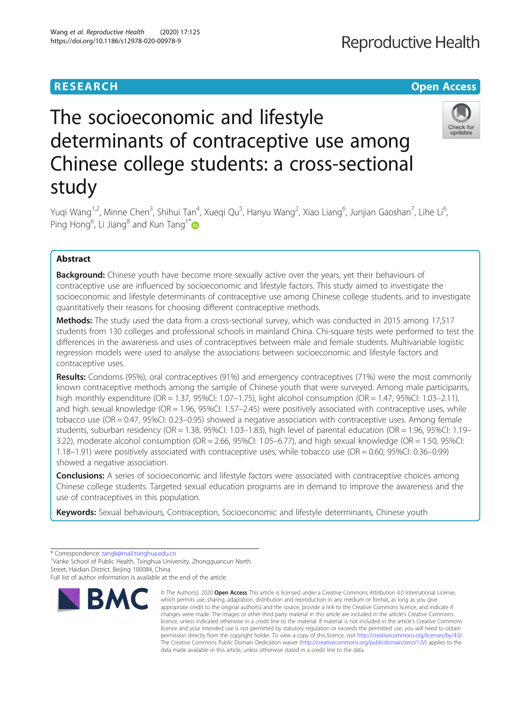### **RESEARCH CHEAR CHEAR CHEAR CHEAR CHEAR CHEAR CHEAR CHEAR CHEAR CHEAP CHEAR CHEAP CHEAP CHEAP CHEAP CHEAP CHEAP**

## **Reproductive Health**

# The socioeconomic and lifestyle determinants of contraceptive use among Chinese college students: a cross-sectional study



Yuqi Wang<sup>1,2</sup>, Minne Chen<sup>3</sup>, Shihui Tan<sup>4</sup>, Xueqi Qu<sup>5</sup>, Hanyu Wang<sup>2</sup>, Xiao Liang<sup>6</sup>, Junjian Gaoshan<sup>7</sup>, Lihe Li<sup>6</sup> י<br>, Ping Hong $^6$ , Li Jiang $^8$  and Kun Tang<sup>1\*</sup>

### Abstract

**Background:** Chinese youth have become more sexually active over the years, yet their behaviours of contraceptive use are influenced by socioeconomic and lifestyle factors. This study aimed to investigate the socioeconomic and lifestyle determinants of contraceptive use among Chinese college students, and to investigate quantitatively their reasons for choosing different contraceptive methods.

Methods: The study used the data from a cross-sectional survey, which was conducted in 2015 among 17,517 students from 130 colleges and professional schools in mainland China. Chi-square tests were performed to test the differences in the awareness and uses of contraceptives between male and female students. Multivariable logistic regression models were used to analyse the associations between socioeconomic and lifestyle factors and contraceptive uses.

Results: Condoms (95%), oral contraceptives (91%) and emergency contraceptives (71%) were the most commonly known contraceptive methods among the sample of Chinese youth that were surveyed. Among male participants, high monthly expenditure (OR = 1.37, 95%CI: 1.07–1.75), light alcohol consumption (OR = 1.47, 95%CI: 1.03–2.11), and high sexual knowledge (OR = 1.96, 95%CI: 1.57–2.45) were positively associated with contraceptive uses, while tobacco use (OR = 0.47, 95%CI: 0.23–0.95) showed a negative association with contraceptive uses. Among female students, suburban residency (OR = 1.38, 95%CI: 1.03–1.83), high level of parental education (OR = 1.96, 95%CI: 1.19– 3.22), moderate alcohol consumption (OR = 2.66, 95%CI: 1.05–6.77), and high sexual knowledge (OR = 1.50, 95%CI: 1.18–1.91) were positively associated with contraceptive uses, while tobacco use (OR = 0.60, 95%CI: 0.36–0.99) showed a negative association.

**Conclusions:** A series of socioeconomic and lifestyle factors were associated with contraceptive choices among Chinese college students. Targeted sexual education programs are in demand to improve the awareness and the use of contraceptives in this population.

Keywords: Sexual behaviours, Contraception, Socioeconomic and lifestyle determinants, Chinese youth

\* Correspondence: [tangk@mail.tsinghua.edu.cn](mailto:tangk@mail.tsinghua.edu.cn) <sup>1</sup>

<sup>1</sup>Vanke School of Public Health, Tsinghua University, Zhongguancun North Street, Haidian District, Beijing 100084, China

Full list of author information is available at the end of the article



<sup>©</sup> The Author(s), 2020 **Open Access** This article is licensed under a Creative Commons Attribution 4.0 International License, which permits use, sharing, adaptation, distribution and reproduction in any medium or format, as long as you give appropriate credit to the original author(s) and the source, provide a link to the Creative Commons licence, and indicate if changes were made. The images or other third party material in this article are included in the article's Creative Commons licence, unless indicated otherwise in a credit line to the material. If material is not included in the article's Creative Commons licence and your intended use is not permitted by statutory regulation or exceeds the permitted use, you will need to obtain permission directly from the copyright holder. To view a copy of this licence, visit [http://creativecommons.org/licenses/by/4.0/.](http://creativecommons.org/licenses/by/4.0/) The Creative Commons Public Domain Dedication waiver [\(http://creativecommons.org/publicdomain/zero/1.0/](http://creativecommons.org/publicdomain/zero/1.0/)) applies to the data made available in this article, unless otherwise stated in a credit line to the data.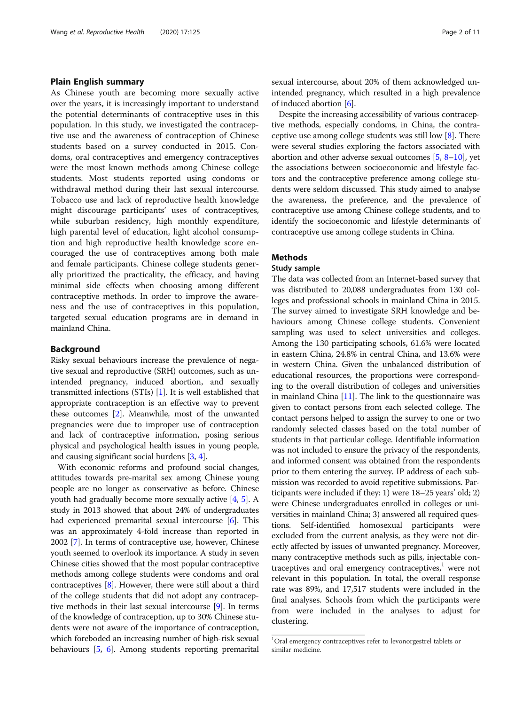#### Plain English summary

As Chinese youth are becoming more sexually active over the years, it is increasingly important to understand the potential determinants of contraceptive uses in this population. In this study, we investigated the contraceptive use and the awareness of contraception of Chinese students based on a survey conducted in 2015. Condoms, oral contraceptives and emergency contraceptives were the most known methods among Chinese college students. Most students reported using condoms or withdrawal method during their last sexual intercourse. Tobacco use and lack of reproductive health knowledge might discourage participants' uses of contraceptives, while suburban residency, high monthly expenditure, high parental level of education, light alcohol consumption and high reproductive health knowledge score encouraged the use of contraceptives among both male and female participants. Chinese college students generally prioritized the practicality, the efficacy, and having minimal side effects when choosing among different contraceptive methods. In order to improve the awareness and the use of contraceptives in this population, targeted sexual education programs are in demand in mainland China.

#### Background

Risky sexual behaviours increase the prevalence of negative sexual and reproductive (SRH) outcomes, such as unintended pregnancy, induced abortion, and sexually transmitted infections (STIs) [[1\]](#page-9-0). It is well established that appropriate contraception is an effective way to prevent these outcomes [\[2](#page-9-0)]. Meanwhile, most of the unwanted pregnancies were due to improper use of contraception and lack of contraceptive information, posing serious physical and psychological health issues in young people, and causing significant social burdens [\[3,](#page-9-0) [4](#page-9-0)].

With economic reforms and profound social changes, attitudes towards pre-marital sex among Chinese young people are no longer as conservative as before. Chinese youth had gradually become more sexually active [[4,](#page-9-0) [5](#page-9-0)]. A study in 2013 showed that about 24% of undergraduates had experienced premarital sexual intercourse [[6\]](#page-9-0). This was an approximately 4-fold increase than reported in 2002 [\[7](#page-9-0)]. In terms of contraceptive use, however, Chinese youth seemed to overlook its importance. A study in seven Chinese cities showed that the most popular contraceptive methods among college students were condoms and oral contraceptives [\[8](#page-9-0)]. However, there were still about a third of the college students that did not adopt any contraceptive methods in their last sexual intercourse [\[9](#page-9-0)]. In terms of the knowledge of contraception, up to 30% Chinese students were not aware of the importance of contraception, which foreboded an increasing number of high-risk sexual behaviours [[5,](#page-9-0) [6](#page-9-0)]. Among students reporting premarital sexual intercourse, about 20% of them acknowledged unintended pregnancy, which resulted in a high prevalence of induced abortion [\[6](#page-9-0)].

Despite the increasing accessibility of various contraceptive methods, especially condoms, in China, the contraceptive use among college students was still low [\[8\]](#page-9-0). There were several studies exploring the factors associated with abortion and other adverse sexual outcomes  $[5, 8-10]$  $[5, 8-10]$  $[5, 8-10]$  $[5, 8-10]$  $[5, 8-10]$  $[5, 8-10]$ , yet the associations between socioeconomic and lifestyle factors and the contraceptive preference among college students were seldom discussed. This study aimed to analyse the awareness, the preference, and the prevalence of contraceptive use among Chinese college students, and to identify the socioeconomic and lifestyle determinants of contraceptive use among college students in China.

#### Methods

#### Study sample

The data was collected from an Internet-based survey that was distributed to 20,088 undergraduates from 130 colleges and professional schools in mainland China in 2015. The survey aimed to investigate SRH knowledge and behaviours among Chinese college students. Convenient sampling was used to select universities and colleges. Among the 130 participating schools, 61.6% were located in eastern China, 24.8% in central China, and 13.6% were in western China. Given the unbalanced distribution of educational resources, the proportions were corresponding to the overall distribution of colleges and universities in mainland China  $[11]$  $[11]$  $[11]$ . The link to the questionnaire was given to contact persons from each selected college. The contact persons helped to assign the survey to one or two randomly selected classes based on the total number of students in that particular college. Identifiable information was not included to ensure the privacy of the respondents, and informed consent was obtained from the respondents prior to them entering the survey. IP address of each submission was recorded to avoid repetitive submissions. Participants were included if they: 1) were 18–25 years' old; 2) were Chinese undergraduates enrolled in colleges or universities in mainland China; 3) answered all required questions. Self-identified homosexual participants were excluded from the current analysis, as they were not directly affected by issues of unwanted pregnancy. Moreover, many contraceptive methods such as pills, injectable contraceptives and oral emergency contraceptives, $<sup>1</sup>$  were not</sup> relevant in this population. In total, the overall response rate was 89%, and 17,517 students were included in the final analyses. Schools from which the participants were from were included in the analyses to adjust for clustering.

<sup>1</sup> Oral emergency contraceptives refer to levonorgestrel tablets or similar medicine.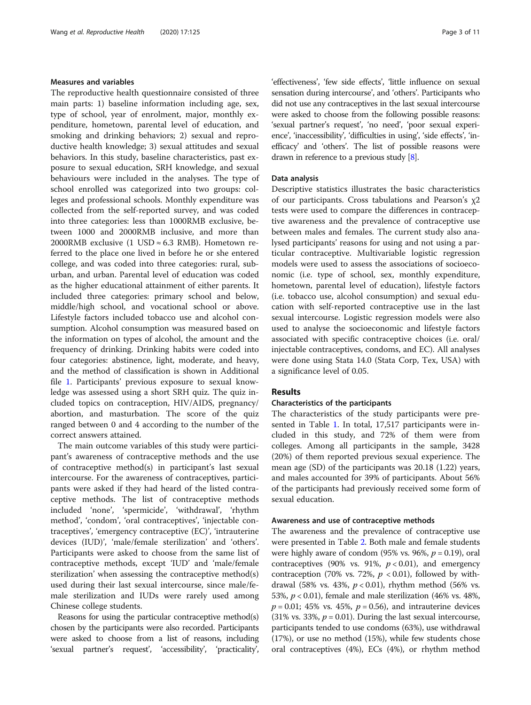#### Measures and variables

The reproductive health questionnaire consisted of three main parts: 1) baseline information including age, sex, type of school, year of enrolment, major, monthly expenditure, hometown, parental level of education, and smoking and drinking behaviors; 2) sexual and reproductive health knowledge; 3) sexual attitudes and sexual behaviors. In this study, baseline characteristics, past exposure to sexual education, SRH knowledge, and sexual behaviours were included in the analyses. The type of school enrolled was categorized into two groups: colleges and professional schools. Monthly expenditure was collected from the self-reported survey, and was coded into three categories: less than 1000RMB exclusive, between 1000 and 2000RMB inclusive, and more than 2000RMB exclusive (1 USD  $\approx$  6.3 RMB). Hometown referred to the place one lived in before he or she entered college, and was coded into three categories: rural, suburban, and urban. Parental level of education was coded as the higher educational attainment of either parents. It included three categories: primary school and below, middle/high school, and vocational school or above. Lifestyle factors included tobacco use and alcohol consumption. Alcohol consumption was measured based on the information on types of alcohol, the amount and the frequency of drinking. Drinking habits were coded into four categories: abstinence, light, moderate, and heavy, and the method of classification is shown in Additional file [1.](#page-9-0) Participants' previous exposure to sexual knowledge was assessed using a short SRH quiz. The quiz included topics on contraception, HIV/AIDS, pregnancy/ abortion, and masturbation. The score of the quiz ranged between 0 and 4 according to the number of the correct answers attained.

The main outcome variables of this study were participant's awareness of contraceptive methods and the use of contraceptive method(s) in participant's last sexual intercourse. For the awareness of contraceptives, participants were asked if they had heard of the listed contraceptive methods. The list of contraceptive methods included 'none', 'spermicide', 'withdrawal', 'rhythm method', 'condom', 'oral contraceptives', 'injectable contraceptives', 'emergency contraceptive (EC)', 'intrauterine devices (IUD)', 'male/female sterilization' and 'others'. Participants were asked to choose from the same list of contraceptive methods, except 'IUD' and 'male/female sterilization' when assessing the contraceptive method(s) used during their last sexual intercourse, since male/female sterilization and IUDs were rarely used among Chinese college students.

Reasons for using the particular contraceptive method(s) chosen by the participants were also recorded. Participants were asked to choose from a list of reasons, including 'sexual partner's request', 'accessibility', 'practicality', 'effectiveness', 'few side effects', 'little influence on sexual sensation during intercourse', and 'others'. Participants who did not use any contraceptives in the last sexual intercourse were asked to choose from the following possible reasons: 'sexual partner's request', 'no need', 'poor sexual experience', 'inaccessibility', 'difficulties in using', 'side effects', 'inefficacy' and 'others'. The list of possible reasons were drawn in reference to a previous study [\[8](#page-9-0)].

#### Data analysis

Descriptive statistics illustrates the basic characteristics of our participants. Cross tabulations and Pearson's χ2 tests were used to compare the differences in contraceptive awareness and the prevalence of contraceptive use between males and females. The current study also analysed participants' reasons for using and not using a particular contraceptive. Multivariable logistic regression models were used to assess the associations of socioeconomic (i.e. type of school, sex, monthly expenditure, hometown, parental level of education), lifestyle factors (i.e. tobacco use, alcohol consumption) and sexual education with self-reported contraceptive use in the last sexual intercourse. Logistic regression models were also used to analyse the socioeconomic and lifestyle factors associated with specific contraceptive choices (i.e. oral/ injectable contraceptives, condoms, and EC). All analyses were done using Stata 14.0 (Stata Corp, Tex, USA) with a significance level of 0.05.

#### Results

#### Characteristics of the participants

The characteristics of the study participants were presented in Table [1.](#page-3-0) In total, 17,517 participants were included in this study, and 72% of them were from colleges. Among all participants in the sample, 3428 (20%) of them reported previous sexual experience. The mean age (SD) of the participants was 20.18 (1.22) years, and males accounted for 39% of participants. About 56% of the participants had previously received some form of sexual education.

#### Awareness and use of contraceptive methods

The awareness and the prevalence of contraceptive use were presented in Table [2](#page-4-0). Both male and female students were highly aware of condom (95% vs. 96%,  $p = 0.19$ ), oral contraceptives (90% vs. 91%,  $p < 0.01$ ), and emergency contraception (70% vs. 72%,  $p < 0.01$ ), followed by withdrawal (58% vs. 43%,  $p < 0.01$ ), rhythm method (56% vs. 53%,  $p < 0.01$ ), female and male sterilization (46% vs. 48%,  $p = 0.01$ ; 45% vs. 45%,  $p = 0.56$ ), and intrauterine devices (31% vs. 33%,  $p = 0.01$ ). During the last sexual intercourse, participants tended to use condoms (63%), use withdrawal (17%), or use no method (15%), while few students chose oral contraceptives (4%), ECs (4%), or rhythm method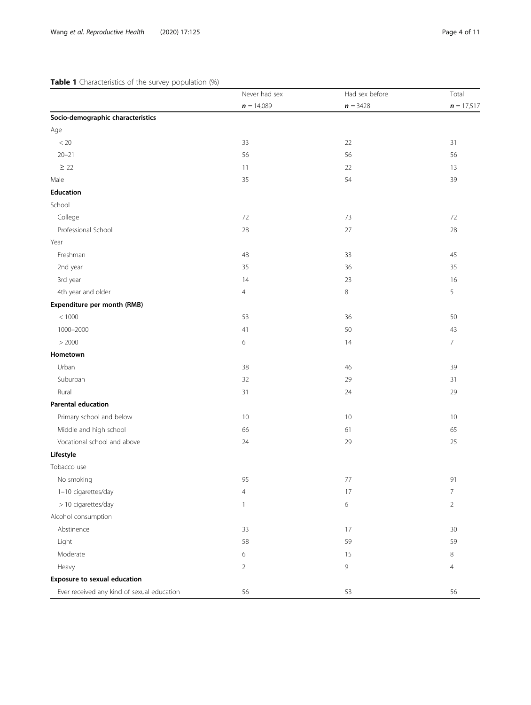#### <span id="page-3-0"></span>Table 1 Characteristics of the survey population (%)

|                                            | Never had sex  | Had sex before | Total            |
|--------------------------------------------|----------------|----------------|------------------|
|                                            | $n = 14,089$   | $n = 3428$     | $n = 17,517$     |
| Socio-demographic characteristics          |                |                |                  |
| Age                                        |                |                |                  |
| $< 20\,$                                   | 33             | 22             | 31               |
| $20 - 21$                                  | 56             | 56             | 56               |
| $\geq$ 22                                  | 11             | 22             | 13               |
| Male                                       | 35             | 54             | 39               |
| Education                                  |                |                |                  |
| School                                     |                |                |                  |
| College                                    | 72             | 73             | 72               |
| Professional School                        | 28             | $27\,$         | 28               |
| Year                                       |                |                |                  |
| Freshman                                   | 48             | 33             | 45               |
| 2nd year                                   | 35             | 36             | 35               |
| 3rd year                                   | 14             | 23             | 16               |
| 4th year and older                         | $\overline{4}$ | 8              | 5                |
| Expenditure per month (RMB)                |                |                |                  |
| $<1000\,$                                  | 53             | 36             | 50               |
| 1000-2000                                  | 41             | 50             | 43               |
| > 2000                                     | 6              | 14             | $\overline{7}$   |
| Hometown                                   |                |                |                  |
| Urban                                      | 38             | 46             | 39               |
| Suburban                                   | 32             | 29             | 31               |
| Rural                                      | 31             | 24             | 29               |
| <b>Parental education</b>                  |                |                |                  |
| Primary school and below                   | $10$           | $10\,$         | 10               |
| Middle and high school                     | 66             | 61             | 65               |
| Vocational school and above                | 24             | 29             | 25               |
| Lifestyle                                  |                |                |                  |
| Tobacco use                                |                |                |                  |
| No smoking                                 | 95             | $77\,$         | 91               |
| 1-10 cigarettes/day                        | $\overline{4}$ | $17\,$         | $\boldsymbol{7}$ |
| > 10 cigarettes/day                        | $\mathbf{1}$   | 6              | $\overline{2}$   |
| Alcohol consumption                        |                |                |                  |
| Abstinence                                 | 33             | 17             | 30               |
| Light                                      | 58             | 59             | 59               |
| Moderate                                   | 6              | 15             | 8                |
| Heavy                                      | $\overline{2}$ | 9              | $\overline{4}$   |
| Exposure to sexual education               |                |                |                  |
| Ever received any kind of sexual education | 56             | 53             | 56               |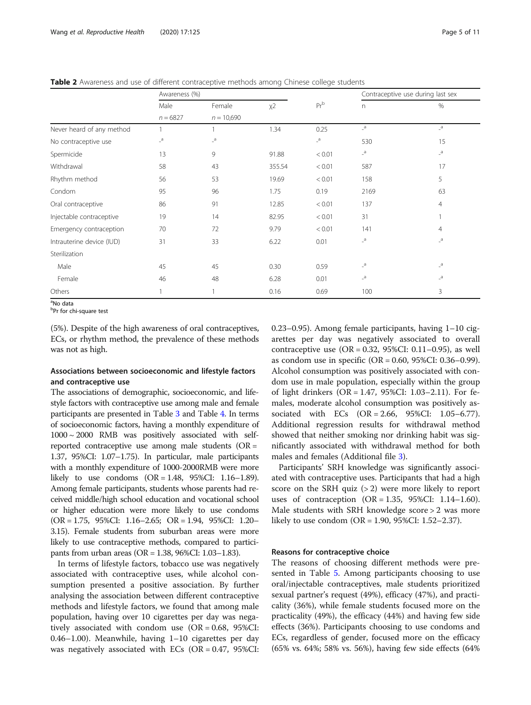| Page 5 of 11 |  |  |
|--------------|--|--|
|              |  |  |

<span id="page-4-0"></span>Table 2 Awareness and use of different contraceptive methods among Chinese college students

|                           | Awareness (%) |              |        |                            | Contraceptive use during last sex |                      |  |
|---------------------------|---------------|--------------|--------|----------------------------|-----------------------------------|----------------------|--|
|                           | Male          | Female       | $x^2$  | $\mathsf{Pr}^{\mathsf{b}}$ | n                                 | $\%$                 |  |
|                           | $n = 6827$    | $n = 10,690$ |        |                            |                                   |                      |  |
| Never heard of any method |               |              | 1.34   | 0.25                       | $\mathsf{I}^{\mathsf{a}}$         | $\mathsf{I}^{\rm a}$ |  |
| No contraceptive use      | $_a^a$        | $a_{-}$      |        | $\mathsf{a}_-$             | 530                               | 15                   |  |
| Spermicide                | 13            | 9            | 91.88  | < 0.01                     | $\mathsf{a}$                      | $\mathsf{I}^{\rm a}$ |  |
| Withdrawal                | 58            | 43           | 355.54 | < 0.01                     | 587                               | 17                   |  |
| Rhythm method             | 56            | 53           | 19.69  | < 0.01                     | 158                               | 5                    |  |
| Condom                    | 95            | 96           | 1.75   | 0.19                       | 2169                              | 63                   |  |
| Oral contraceptive        | 86            | 91           | 12.85  | < 0.01                     | 137                               | $\overline{4}$       |  |
| Injectable contraceptive  | 19            | 14           | 82.95  | < 0.01                     | 31                                |                      |  |
| Emergency contraception   | 70            | 72           | 9.79   | < 0.01                     | 141                               | 4                    |  |
| Intrauterine device (IUD) | 31            | 33           | 6.22   | 0.01                       | $\mathsf{I}^a$                    | $\mathsf{I}^{\rm a}$ |  |
| Sterilization             |               |              |        |                            |                                   |                      |  |
| Male                      | 45            | 45           | 0.30   | 0.59                       | $\overline{a}$                    | $a_{-}$              |  |
| Female                    | 46            | 48           | 6.28   | 0.01                       | $\mathsf{I}^a$                    | $\overline{a}$       |  |
| Others                    |               |              | 0.16   | 0.69                       | 100                               | 3                    |  |

<sup>a</sup>No data

b<br>Pr for chi-square test

(5%). Despite of the high awareness of oral contraceptives, ECs, or rhythm method, the prevalence of these methods was not as high.

#### Associations between socioeconomic and lifestyle factors and contraceptive use

The associations of demographic, socioeconomic, and lifestyle factors with contraceptive use among male and female participants are presented in Table [3](#page-5-0) and Table [4.](#page-7-0) In terms of socioeconomic factors, having a monthly expenditure of  $1000 \sim 2000$  RMB was positively associated with selfreported contraceptive use among male students ( $OR =$ 1.37, 95%CI: 1.07–1.75). In particular, male participants with a monthly expenditure of 1000-2000RMB were more likely to use condoms  $(OR = 1.48, 95\% CI: 1.16-1.89)$ . Among female participants, students whose parents had received middle/high school education and vocational school or higher education were more likely to use condoms (OR = 1.75, 95%CI: 1.16–2.65; OR = 1.94, 95%CI: 1.20– 3.15). Female students from suburban areas were more likely to use contraceptive methods, compared to participants from urban areas (OR = 1.38, 96%CI: 1.03–1.83).

In terms of lifestyle factors, tobacco use was negatively associated with contraceptive uses, while alcohol consumption presented a positive association. By further analysing the association between different contraceptive methods and lifestyle factors, we found that among male population, having over 10 cigarettes per day was negatively associated with condom use  $(OR = 0.68, 95\% CI:$ 0.46–1.00). Meanwhile, having 1–10 cigarettes per day was negatively associated with ECs ( $OR = 0.47$ , 95%CI: 0.23–0.95). Among female participants, having 1–10 cigarettes per day was negatively associated to overall contraceptive use  $(OR = 0.32, 95\% CI: 0.11-0.95)$ , as well as condom use in specific (OR = 0.60, 95%CI: 0.36–0.99). Alcohol consumption was positively associated with condom use in male population, especially within the group of light drinkers (OR = 1.47, 95%CI: 1.03–2.11). For females, moderate alcohol consumption was positively associated with ECs (OR = 2.66, 95%CI: 1.05–6.77). Additional regression results for withdrawal method showed that neither smoking nor drinking habit was significantly associated with withdrawal method for both males and females (Additional file [3\)](#page-9-0).

Participants' SRH knowledge was significantly associated with contraceptive uses. Participants that had a high score on the SRH quiz (> 2) were more likely to report uses of contraception  $(OR = 1.35, 95\% CI: 1.14-1.60)$ . Male students with SRH knowledge score > 2 was more likely to use condom (OR = 1.90, 95%CI: 1.52–2.37).

#### Reasons for contraceptive choice

The reasons of choosing different methods were presented in Table [5](#page-8-0). Among participants choosing to use oral/injectable contraceptives, male students prioritized sexual partner's request (49%), efficacy (47%), and practicality (36%), while female students focused more on the practicality (49%), the efficacy (44%) and having few side effects (36%). Participants choosing to use condoms and ECs, regardless of gender, focused more on the efficacy (65% vs. 64%; 58% vs. 56%), having few side effects (64%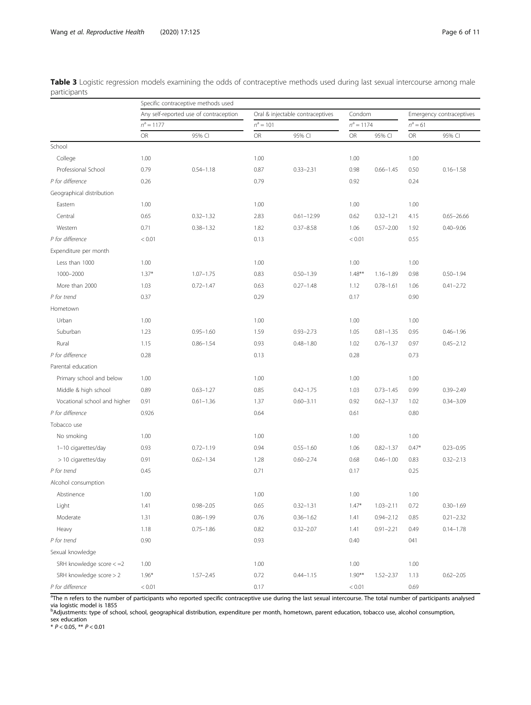|                              |              | Specific contraceptive methods used    |             |                                  |              |               |            |                          |  |
|------------------------------|--------------|----------------------------------------|-------------|----------------------------------|--------------|---------------|------------|--------------------------|--|
|                              |              | Any self-reported use of contraception |             | Oral & injectable contraceptives | Condom       |               |            | Emergency contraceptives |  |
|                              | $n^a = 1177$ |                                        | $n^a = 101$ |                                  | $n^a = 1174$ |               | $n^a = 61$ |                          |  |
|                              | OR           | 95% CI                                 | OR          | 95% CI                           | OR           | 95% CI        | OR         | 95% CI                   |  |
| School                       |              |                                        |             |                                  |              |               |            |                          |  |
| College                      | 1.00         |                                        | 1.00        |                                  | 1.00         |               | 1.00       |                          |  |
| Professional School          | 0.79         | $0.54 - 1.18$                          | 0.87        | $0.33 - 2.31$                    | 0.98         | $0.66 - 1.45$ | 0.50       | $0.16 - 1.58$            |  |
| P for difference             | 0.26         |                                        | 0.79        |                                  | 0.92         |               | 0.24       |                          |  |
| Geographical distribution    |              |                                        |             |                                  |              |               |            |                          |  |
| Eastern                      | 1.00         |                                        | 1.00        |                                  | 1.00         |               | 1.00       |                          |  |
| Central                      | 0.65         | $0.32 - 1.32$                          | 2.83        | $0.61 - 12.99$                   | 0.62         | $0.32 - 1.21$ | 4.15       | $0.65 - 26.66$           |  |
| Western                      | 0.71         | $0.38 - 1.32$                          | 1.82        | $0.37 - 8.58$                    | 1.06         | $0.57 - 2.00$ | 1.92       | $0.40 - 9.06$            |  |
| P for difference             | < 0.01       |                                        | 0.13        |                                  | < 0.01       |               | 0.55       |                          |  |
| Expenditure per month        |              |                                        |             |                                  |              |               |            |                          |  |
| Less than 1000               | 1.00         |                                        | 1.00        |                                  | 1.00         |               | 1.00       |                          |  |
| 1000-2000                    | $1.37*$      | $1.07 - 1.75$                          | 0.83        | $0.50 - 1.39$                    | $1.48**$     | $1.16 - 1.89$ | 0.98       | $0.50 - 1.94$            |  |
| More than 2000               | 1.03         | $0.72 - 1.47$                          | 0.63        | $0.27 - 1.48$                    | 1.12         | $0.78 - 1.61$ | 1.06       | $0.41 - 2.72$            |  |
| P for trend                  | 0.37         |                                        | 0.29        |                                  | 0.17         |               | 0.90       |                          |  |
| Hometown                     |              |                                        |             |                                  |              |               |            |                          |  |
| Urban                        | 1.00         |                                        | 1.00        |                                  | 1.00         |               | 1.00       |                          |  |
| Suburban                     | 1.23         | $0.95 - 1.60$                          | 1.59        | $0.93 - 2.73$                    | 1.05         | $0.81 - 1.35$ | 0.95       | $0.46 - 1.96$            |  |
| Rural                        | 1.15         | $0.86 - 1.54$                          | 0.93        | $0.48 - 1.80$                    | 1.02         | $0.76 - 1.37$ | 0.97       | $0.45 - 2.12$            |  |
| P for difference             | 0.28         |                                        | 0.13        |                                  | 0.28         |               | 0.73       |                          |  |
| Parental education           |              |                                        |             |                                  |              |               |            |                          |  |
| Primary school and below     | 1.00         |                                        | 1.00        |                                  | 1.00         |               | 1.00       |                          |  |
| Middle & high school         | 0.89         | $0.63 - 1.27$                          | 0.85        | $0.42 - 1.75$                    | 1.03         | $0.73 - 1.45$ | 0.99       | $0.39 - 2.49$            |  |
| Vocational school and higher | 0.91         | $0.61 - 1.36$                          | 1.37        | $0.60 - 3.11$                    | 0.92         | $0.62 - 1.37$ | 1.02       | $0.34 - 3.09$            |  |
| P for difference             | 0.926        |                                        | 0.64        |                                  | 0.61         |               | 0.80       |                          |  |
| Tobacco use                  |              |                                        |             |                                  |              |               |            |                          |  |
| No smoking                   | 1.00         |                                        | 1.00        |                                  | 1.00         |               | 1.00       |                          |  |
| 1-10 cigarettes/day          | 0.93         | $0.72 - 1.19$                          | 0.94        | $0.55 - 1.60$                    | 1.06         | $0.82 - 1.37$ | $0.47*$    | $0.23 - 0.95$            |  |
| > 10 cigarettes/day          | 0.91         | $0.62 - 1.34$                          | 1.28        | $0.60 - 2.74$                    | 0.68         | $0.46 - 1.00$ | 0.83       | $0.32 - 2.13$            |  |
| P for trend                  | 0.45         |                                        | 0.71        |                                  | 0.17         |               | 0.25       |                          |  |
| Alcohol consumption          |              |                                        |             |                                  |              |               |            |                          |  |
| Abstinence                   | 1.00         |                                        | 1.00        |                                  | 1.00         |               | 1.00       |                          |  |
| Light                        | 1.41         | $0.98 - 2.05$                          | 0.65        | $0.32 - 1.31$                    | $1.47*$      | $1.03 - 2.11$ | 0.72       | $0.30 - 1.69$            |  |
| Moderate                     | 1.31         | $0.86 - 1.99$                          | 0.76        | $0.36 - 1.62$                    | 1.41         | $0.94 - 2.12$ | 0.85       | $0.21 - 2.32$            |  |
| Heavy                        | 1.18         | $0.75 - 1.86$                          | 0.82        | $0.32 - 2.07$                    | 1.41         | $0.91 - 2.21$ | 0.49       | $0.14 - 1.78$            |  |
| P for trend                  | 0.90         |                                        | 0.93        |                                  | 0.40         |               | 041        |                          |  |
| Sexual knowledge             |              |                                        |             |                                  |              |               |            |                          |  |
| SRH knowledge score $< = 2$  | 1.00         |                                        | 1.00        |                                  | 1.00         |               | 1.00       |                          |  |
| SRH knowledge score > 2      | $1.96*$      | $1.57 - 2.45$                          | 0.72        | $0.44 - 1.15$                    | $1.90**$     | $1.52 - 2.37$ | 1.13       | $0.62 - 2.05$            |  |
| P for difference             | < 0.01       |                                        | 0.17        |                                  | < 0.01       |               | 0.69       |                          |  |

<span id="page-5-0"></span>Table 3 Logistic regression models examining the odds of contraceptive methods used during last sexual intercourse among male participants

<sup>a</sup>The n refers to the number of participants who reported specific contraceptive use during the last sexual intercourse. The total number of participants analysed via logistic model is 1855<br><sup>b</sup>Adjustments: type of school, school, geographical distribution, expenditure per month, hometown, parent education, tobacco use, alcohol consumption,

sex education \* P < 0.05, \*\* P < 0.01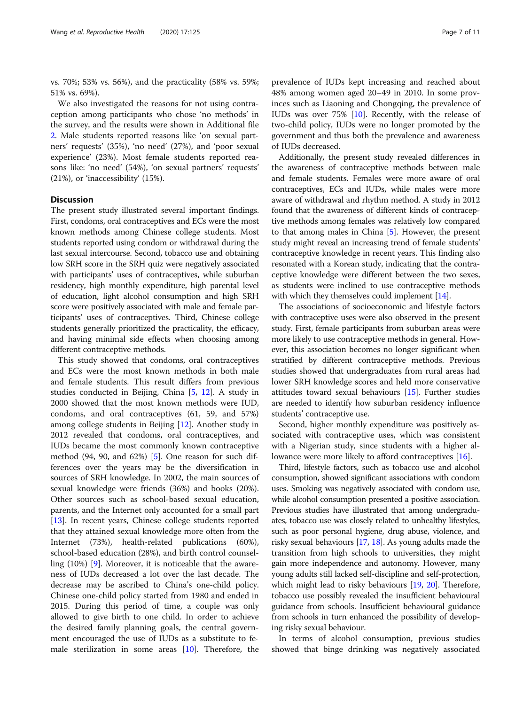vs. 70%; 53% vs. 56%), and the practicality (58% vs. 59%; 51% vs. 69%).

We also investigated the reasons for not using contraception among participants who chose 'no methods' in the survey, and the results were shown in Additional file [2.](#page-9-0) Male students reported reasons like 'on sexual partners' requests' (35%), 'no need' (27%), and 'poor sexual experience' (23%). Most female students reported reasons like: 'no need' (54%), 'on sexual partners' requests' (21%), or 'inaccessibility' (15%).

#### **Discussion**

The present study illustrated several important findings. First, condoms, oral contraceptives and ECs were the most known methods among Chinese college students. Most students reported using condom or withdrawal during the last sexual intercourse. Second, tobacco use and obtaining low SRH score in the SRH quiz were negatively associated with participants' uses of contraceptives, while suburban residency, high monthly expenditure, high parental level of education, light alcohol consumption and high SRH score were positively associated with male and female participants' uses of contraceptives. Third, Chinese college students generally prioritized the practicality, the efficacy, and having minimal side effects when choosing among different contraceptive methods.

This study showed that condoms, oral contraceptives and ECs were the most known methods in both male and female students. This result differs from previous studies conducted in Beijing, China [\[5](#page-9-0), [12\]](#page-9-0). A study in 2000 showed that the most known methods were IUD, condoms, and oral contraceptives (61, 59, and 57%) among college students in Beijing [[12\]](#page-9-0). Another study in 2012 revealed that condoms, oral contraceptives, and IUDs became the most commonly known contraceptive method (94, 90, and 62%) [\[5](#page-9-0)]. One reason for such differences over the years may be the diversification in sources of SRH knowledge. In 2002, the main sources of sexual knowledge were friends (36%) and books (20%). Other sources such as school-based sexual education, parents, and the Internet only accounted for a small part [[13\]](#page-9-0). In recent years, Chinese college students reported that they attained sexual knowledge more often from the Internet (73%), health-related publications (60%), school-based education (28%), and birth control counselling (10%) [[9\]](#page-9-0). Moreover, it is noticeable that the awareness of IUDs decreased a lot over the last decade. The decrease may be ascribed to China's one-child policy. Chinese one-child policy started from 1980 and ended in 2015. During this period of time, a couple was only allowed to give birth to one child. In order to achieve the desired family planning goals, the central government encouraged the use of IUDs as a substitute to female sterilization in some areas [[10\]](#page-9-0). Therefore, the prevalence of IUDs kept increasing and reached about 48% among women aged 20–49 in 2010. In some provinces such as Liaoning and Chongqing, the prevalence of IUDs was over 75% [\[10\]](#page-9-0). Recently, with the release of two-child policy, IUDs were no longer promoted by the government and thus both the prevalence and awareness of IUDs decreased.

Additionally, the present study revealed differences in the awareness of contraceptive methods between male and female students. Females were more aware of oral contraceptives, ECs and IUDs, while males were more aware of withdrawal and rhythm method. A study in 2012 found that the awareness of different kinds of contraceptive methods among females was relatively low compared to that among males in China [[5\]](#page-9-0). However, the present study might reveal an increasing trend of female students' contraceptive knowledge in recent years. This finding also resonated with a Korean study, indicating that the contraceptive knowledge were different between the two sexes, as students were inclined to use contraceptive methods with which they themselves could implement [\[14\]](#page-9-0).

The associations of socioeconomic and lifestyle factors with contraceptive uses were also observed in the present study. First, female participants from suburban areas were more likely to use contraceptive methods in general. However, this association becomes no longer significant when stratified by different contraceptive methods. Previous studies showed that undergraduates from rural areas had lower SRH knowledge scores and held more conservative attitudes toward sexual behaviours [[15](#page-9-0)]. Further studies are needed to identify how suburban residency influence students' contraceptive use.

Second, higher monthly expenditure was positively associated with contraceptive uses, which was consistent with a Nigerian study, since students with a higher allowance were more likely to afford contraceptives [[16\]](#page-9-0).

Third, lifestyle factors, such as tobacco use and alcohol consumption, showed significant associations with condom uses. Smoking was negatively associated with condom use, while alcohol consumption presented a positive association. Previous studies have illustrated that among undergraduates, tobacco use was closely related to unhealthy lifestyles, such as poor personal hygiene, drug abuse, violence, and risky sexual behaviours [[17](#page-9-0), [18\]](#page-9-0). As young adults made the transition from high schools to universities, they might gain more independence and autonomy. However, many young adults still lacked self-discipline and self-protection, which might lead to risky behaviours  $[19, 20]$  $[19, 20]$  $[19, 20]$  $[19, 20]$ . Therefore, tobacco use possibly revealed the insufficient behavioural guidance from schools. Insufficient behavioural guidance from schools in turn enhanced the possibility of developing risky sexual behaviour.

In terms of alcohol consumption, previous studies showed that binge drinking was negatively associated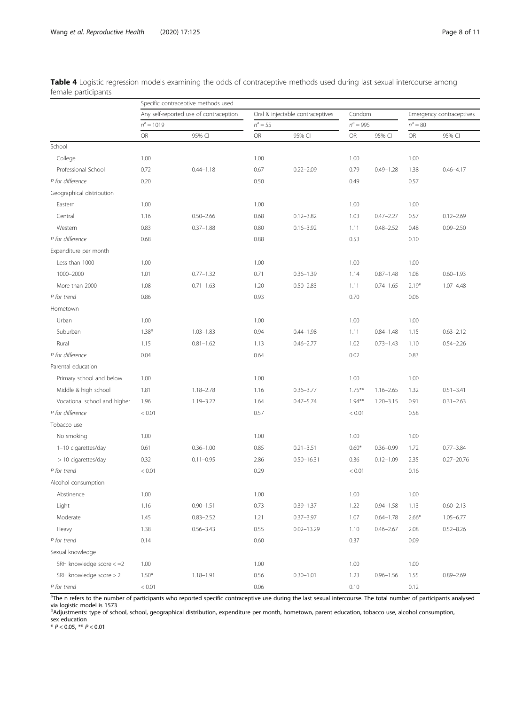|                              |              | Specific contraceptive methods used    |            |                                  |             |               |            |                          |  |
|------------------------------|--------------|----------------------------------------|------------|----------------------------------|-------------|---------------|------------|--------------------------|--|
|                              |              | Any self-reported use of contraception |            | Oral & injectable contraceptives | Condom      |               |            | Emergency contraceptives |  |
|                              | $n^a = 1019$ |                                        | $n^a = 55$ |                                  | $n^a = 995$ |               | $n^a = 80$ |                          |  |
|                              | <b>OR</b>    | 95% CI                                 | <b>OR</b>  | 95% CI                           | <b>OR</b>   | 95% CI        | <b>OR</b>  | 95% CI                   |  |
| School                       |              |                                        |            |                                  |             |               |            |                          |  |
| College                      | 1.00         |                                        | 1.00       |                                  | 1.00        |               | 1.00       |                          |  |
| Professional School          | 0.72         | $0.44 - 1.18$                          | 0.67       | $0.22 - 2.09$                    | 0.79        | $0.49 - 1.28$ | 1.38       | $0.46 - 4.17$            |  |
| P for difference             | 0.20         |                                        | 0.50       |                                  | 0.49        |               | 0.57       |                          |  |
| Geographical distribution    |              |                                        |            |                                  |             |               |            |                          |  |
| Eastern                      | 1.00         |                                        | 1.00       |                                  | 1.00        |               | 1.00       |                          |  |
| Central                      | 1.16         | $0.50 - 2.66$                          | 0.68       | $0.12 - 3.82$                    | 1.03        | $0.47 - 2.27$ | 0.57       | $0.12 - 2.69$            |  |
| Western                      | 0.83         | $0.37 - 1.88$                          | 0.80       | $0.16 - 3.92$                    | 1.11        | $0.48 - 2.52$ | 0.48       | $0.09 - 2.50$            |  |
| P for difference             | 0.68         |                                        | 0.88       |                                  | 0.53        |               | 0.10       |                          |  |
| Expenditure per month        |              |                                        |            |                                  |             |               |            |                          |  |
| Less than 1000               | 1.00         |                                        | 1.00       |                                  | 1.00        |               | 1.00       |                          |  |
| 1000-2000                    | 1.01         | $0.77 - 1.32$                          | 0.71       | $0.36 - 1.39$                    | 1.14        | $0.87 - 1.48$ | 1.08       | $0.60 - 1.93$            |  |
| More than 2000               | 1.08         | $0.71 - 1.63$                          | 1.20       | $0.50 - 2.83$                    | 1.11        | $0.74 - 1.65$ | $2.19*$    | $1.07 - 4.48$            |  |
| P for trend                  | 0.86         |                                        | 0.93       |                                  | 0.70        |               | 0.06       |                          |  |
| Hometown                     |              |                                        |            |                                  |             |               |            |                          |  |
| Urban                        | 1.00         |                                        | 1.00       |                                  | 1.00        |               | 1.00       |                          |  |
| Suburban                     | $1.38*$      | $1.03 - 1.83$                          | 0.94       | $0.44 - 1.98$                    | 1.11        | $0.84 - 1.48$ | 1.15       | $0.63 - 2.12$            |  |
| Rural                        | 1.15         | $0.81 - 1.62$                          | 1.13       | $0.46 - 2.77$                    | 1.02        | $0.73 - 1.43$ | 1.10       | $0.54 - 2.26$            |  |
| P for difference             | 0.04         |                                        | 0.64       |                                  | 0.02        |               | 0.83       |                          |  |
| Parental education           |              |                                        |            |                                  |             |               |            |                          |  |
| Primary school and below     | 1.00         |                                        | 1.00       |                                  | 1.00        |               | 1.00       |                          |  |
| Middle & high school         | 1.81         | $1.18 - 2.78$                          | 1.16       | $0.36 - 3.77$                    | $1.75***$   | $1.16 - 2.65$ | 1.32       | $0.51 - 3.41$            |  |
| Vocational school and higher | 1.96         | $1.19 - 3.22$                          | 1.64       | $0.47 - 5.74$                    | $1.94**$    | $1.20 - 3.15$ | 0.91       | $0.31 - 2.63$            |  |
| P for difference             | < 0.01       |                                        | 0.57       |                                  | < 0.01      |               | 0.58       |                          |  |
| Tobacco use                  |              |                                        |            |                                  |             |               |            |                          |  |
| No smoking                   | 1.00         |                                        | 1.00       |                                  | 1.00        |               | 1.00       |                          |  |
| 1-10 cigarettes/day          | 0.61         | $0.36 - 1.00$                          | 0.85       | $0.21 - 3.51$                    | $0.60*$     | $0.36 - 0.99$ | 1.72       | $0.77 - 3.84$            |  |
| > 10 cigarettes/day          | 0.32         | $0.11 - 0.95$                          | 2.86       | $0.50 - 16.31$                   | 0.36        | $0.12 - 1.09$ | 2.35       | $0.27 - 20.76$           |  |
| P for trend                  | < 0.01       |                                        | 0.29       |                                  | < 0.01      |               | 0.16       |                          |  |
| Alcohol consumption          |              |                                        |            |                                  |             |               |            |                          |  |
| Abstinence                   | 1.00         |                                        | 1.00       |                                  | 1.00        |               | 1.00       |                          |  |
| Light                        | 1.16         | $0.90 - 1.51$                          | 0.73       | $0.39 - 1.37$                    | 1.22        | $0.94 - 1.58$ | 1.13       | $0.60 - 2.13$            |  |
| Moderate                     | 1.45         | $0.83 - 2.52$                          | 1.21       | $0.37 - 3.97$                    | 1.07        | $0.64 - 1.78$ | $2.66*$    | $1.05 - 6.77$            |  |
| Heavy                        | 1.38         | $0.56 - 3.43$                          | 0.55       | $0.02 - 13.29$                   | 1.10        | $0.46 - 2.67$ | 2.08       | $0.52 - 8.26$            |  |
| P for trend                  | 0.14         |                                        | 0.60       |                                  | 0.37        |               | 0.09       |                          |  |
| Sexual knowledge             |              |                                        |            |                                  |             |               |            |                          |  |
| SRH knowledge score $< = 2$  | 1.00         |                                        | 1.00       |                                  | 1.00        |               | 1.00       |                          |  |
| SRH knowledge score > 2      | $1.50*$      | $1.18 - 1.91$                          | 0.56       | $0.30 - 1.01$                    | 1.23        | $0.96 - 1.56$ | 1.55       | $0.89 - 2.69$            |  |
| P for trend                  | < 0.01       |                                        | 0.06       |                                  | 0.10        |               | 0.12       |                          |  |

<span id="page-7-0"></span>Table 4 Logistic regression models examining the odds of contraceptive methods used during last sexual intercourse among female participants

<sup>a</sup>The n refers to the number of participants who reported specific contraceptive use during the last sexual intercourse. The total number of participants analysed via logistic model is 1573<br><sup>b</sup>Adjustments: type of school, school, geographical distribution, expenditure per month, hometown, parent education, tobacco use, alcohol consumption,

sex education \* P < 0.05, \*\* P < 0.01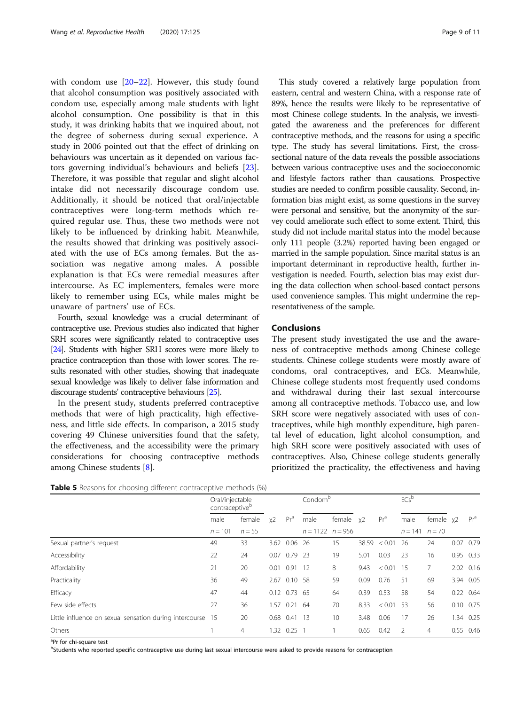<span id="page-8-0"></span>with condom use [[20](#page-10-0)–[22\]](#page-10-0). However, this study found that alcohol consumption was positively associated with condom use, especially among male students with light alcohol consumption. One possibility is that in this study, it was drinking habits that we inquired about, not the degree of soberness during sexual experience. A study in 2006 pointed out that the effect of drinking on behaviours was uncertain as it depended on various factors governing individual's behaviours and beliefs [\[23](#page-10-0)]. Therefore, it was possible that regular and slight alcohol intake did not necessarily discourage condom use. Additionally, it should be noticed that oral/injectable contraceptives were long-term methods which required regular use. Thus, these two methods were not likely to be influenced by drinking habit. Meanwhile, the results showed that drinking was positively associated with the use of ECs among females. But the association was negative among males. A possible explanation is that ECs were remedial measures after intercourse. As EC implementers, females were more likely to remember using ECs, while males might be unaware of partners' use of ECs.

Fourth, sexual knowledge was a crucial determinant of contraceptive use. Previous studies also indicated that higher SRH scores were significantly related to contraceptive uses [[24\]](#page-10-0). Students with higher SRH scores were more likely to practice contraception than those with lower scores. The results resonated with other studies, showing that inadequate sexual knowledge was likely to deliver false information and discourage students' contraceptive behaviours [[25\]](#page-10-0).

In the present study, students preferred contraceptive methods that were of high practicality, high effectiveness, and little side effects. In comparison, a 2015 study covering 49 Chinese universities found that the safety, the effectiveness, and the accessibility were the primary considerations for choosing contraceptive methods among Chinese students [\[8](#page-9-0)].

This study covered a relatively large population from eastern, central and western China, with a response rate of 89%, hence the results were likely to be representative of most Chinese college students. In the analysis, we investigated the awareness and the preferences for different contraceptive methods, and the reasons for using a specific type. The study has several limitations. First, the crosssectional nature of the data reveals the possible associations between various contraceptive uses and the socioeconomic and lifestyle factors rather than causations. Prospective studies are needed to confirm possible causality. Second, information bias might exist, as some questions in the survey were personal and sensitive, but the anonymity of the survey could ameliorate such effect to some extent. Third, this study did not include marital status into the model because only 111 people (3.2%) reported having been engaged or married in the sample population. Since marital status is an important determinant in reproductive health, further investigation is needed. Fourth, selection bias may exist during the data collection when school-based contact persons used convenience samples. This might undermine the representativeness of the sample.

#### Conclusions

The present study investigated the use and the awareness of contraceptive methods among Chinese college students. Chinese college students were mostly aware of condoms, oral contraceptives, and ECs. Meanwhile, Chinese college students most frequently used condoms and withdrawal during their last sexual intercourse among all contraceptive methods. Tobacco use, and low SRH score were negatively associated with uses of contraceptives, while high monthly expenditure, high parental level of education, light alcohol consumption, and high SRH score were positively associated with uses of contraceptives. Also, Chinese college students generally prioritized the practicality, the effectiveness and having

|  |  |  |  | <b>Table 5</b> Reasons for choosing different contraceptive methods (%) |  |
|--|--|--|--|-------------------------------------------------------------------------|--|
|--|--|--|--|-------------------------------------------------------------------------|--|

|                                                            | Oral/injectable<br>contraceptiveb |          |       |                 | Condomb              |              |      |                 | $ECs^b$            |                |                   |
|------------------------------------------------------------|-----------------------------------|----------|-------|-----------------|----------------------|--------------|------|-----------------|--------------------|----------------|-------------------|
|                                                            | male                              | female   | $x^2$ | Pr <sup>a</sup> | male                 | female $x^2$ |      | Pr <sup>a</sup> | male               | female x2      | $Pr^a$            |
|                                                            | $n = 101$                         | $n = 55$ |       |                 | $n = 1122$ $n = 956$ |              |      |                 | $n = 141$ $n = 70$ |                |                   |
| Sexual partner's request                                   | 49                                | 33       |       | 3.62 0.06 26    |                      | 15           |      | 38.59 < 0.01    | - 26               | 24             | 0.07 0.79         |
| Accessibility                                              | 22                                | 24       | 0.07  | 0.79 23         |                      | 19           | 5.01 | 0.03            | 23                 | 16             | 0.95 0.33         |
| Affordability                                              | 21                                | 20       | 0.01  | 0.91            | - 12                 | 8            | 9.43 | < 0.01          | - 15               | $\overline{7}$ | 2.02 0.16         |
| Practicality                                               | 36                                | 49       |       | 2.67 0.10 58    |                      | 59           | 0.09 | 0.76            | -51                | 69             | 3.94 0.05         |
| Efficacy                                                   | 47                                | 44       |       | 0.12 0.73 65    |                      | 64           | 0.39 | 0.53            | 58                 | 54             | $0.22$ 0.64       |
| Few side effects                                           | 27                                | 36       | 1.57  | 0.21            | 64                   | 70           | 8.33 | < 0.01          | -53                | 56             | $0.10 \quad 0.75$ |
| Little influence on sexual sensation during intercourse 15 |                                   | 20       | 0.68  | 0.41            | - 13                 | 10           | 3.48 | 0.06            | 17                 | 26             | 1.34 0.25         |
| Others                                                     |                                   | 4        | 1.32  | 0.25            |                      |              | 0.65 | 0.42            | $\mathcal{P}$      | 4              | 0.55 0.46         |

<sup>a</sup>Pr for chi-square test

**bStudents who reported specific contraceptive use during last sexual intercourse were asked to provide reasons for contraception**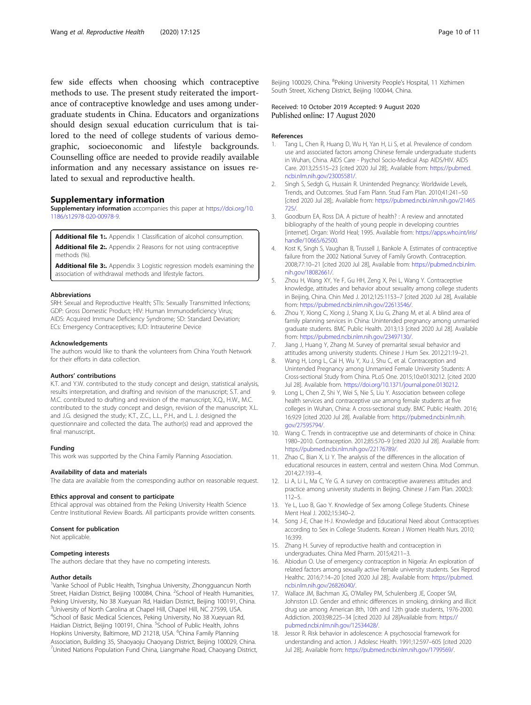<span id="page-9-0"></span>few side effects when choosing which contraceptive methods to use. The present study reiterated the importance of contraceptive knowledge and uses among undergraduate students in China. Educators and organizations should design sexual education curriculum that is tailored to the need of college students of various demographic, socioeconomic and lifestyle backgrounds. Counselling office are needed to provide readily available information and any necessary assistance on issues related to sexual and reproductive health.

#### Supplementary information

Supplementary information accompanies this paper at [https://doi.org/10.](https://doi.org/10.1186/s12978-020-00978-9) [1186/s12978-020-00978-9](https://doi.org/10.1186/s12978-020-00978-9).

Additional file 1:. Appendix 1 Classification of alcohol consumption.

Additional file 2:. Appendix 2 Reasons for not using contraceptive methods (%).

Additional file 3:. Appendix 3 Logistic regression models examining the association of withdrawal methods and lifestyle factors.

#### Abbreviations

SRH: Sexual and Reproductive Health; STIs: Sexually Transmitted Infections; GDP: Gross Domestic Product; HIV: Human Immunodeficiency Virus; AIDS: Acquired Immune Deficiency Syndrome; SD: Standard Deviation; ECs: Emergency Contraceptives; IUD: Intrauterine Device

#### Acknowledgements

The authors would like to thank the volunteers from China Youth Network for their efforts in data collection.

#### Authors' contributions

K.T. and Y.W. contributed to the study concept and design, statistical analysis, results interpretation, and drafting and revision of the manuscript; S.T. and M.C. contributed to drafting and revision of the manuscript; X.Q., H.W., M.C. contributed to the study concept and design, revision of the manuscript; X.L. and J.G. designed the study; K.T., Z.C., L.L., P.H., and L. J. designed the questionnaire and collected the data. The author(s) read and approved the final manuscript.

#### Funding

This work was supported by the China Family Planning Association.

#### Availability of data and materials

The data are available from the corresponding author on reasonable request.

#### Ethics approval and consent to participate

Ethical approval was obtained from the Peking University Health Science Centre Institutional Review Boards. All participants provide written consents.

#### Consent for publication

Not applicable.

#### Competing interests

The authors declare that they have no competing interests.

#### Author details

<sup>1</sup>Vanke School of Public Health, Tsinghua University, Zhongguancun North Street, Haidian District, Beijing 100084, China. <sup>2</sup>School of Health Humanities, Peking University, No 38 Xueyuan Rd, Haidian District, Beijing 100191, China. <sup>3</sup>University of North Carolina at Chapel Hill, Chapel Hill, NC 27599, USA. 4 School of Basic Medical Sciences, Peking University, No 38 Xueyuan Rd, Haidian District, Beijing 100191, China. <sup>5</sup>School of Public Health, Johns Hopkins University, Baltimore, MD 21218, USA. <sup>6</sup>China Family Planning Association, Building 35, Shaoyaoju Chaoyang District, Beijing 100029, China. 7 United Nations Population Fund China, Liangmahe Road, Chaoyang District,

Beijing 100029, China. <sup>8</sup>Peking University People's Hospital, 11 Xizhimen South Street, Xicheng District, Beijing 100044, China.

#### Received: 10 October 2019 Accepted: 9 August 2020 Published online: 17 August 2020

#### References

- 1. Tang L, Chen R, Huang D, Wu H, Yan H, Li S, et al. Prevalence of condom use and associated factors among Chinese female undergraduate students in Wuhan, China. AIDS Care - Psychol Socio-Medical Asp AIDS/HIV. AIDS Care. 2013;25:515–23 [cited 2020 Jul 28];. Available from: [https://pubmed.](https://pubmed.ncbi.nlm.nih.gov/23005581/) [ncbi.nlm.nih.gov/23005581/.](https://pubmed.ncbi.nlm.nih.gov/23005581/)
- 2. Singh S, Sedgh G, Hussain R. Unintended Pregnancy: Worldwide Levels, Trends, and Outcomes. Stud Fam Plann. Stud Fam Plan. 2010;41:241–50 [cited 2020 Jul 28];. Available from: [https://pubmed.ncbi.nlm.nih.gov/21465](https://pubmed.ncbi.nlm.nih.gov/21465725/) [725/](https://pubmed.ncbi.nlm.nih.gov/21465725/).
- 3. Goodburn EA, Ross DA. A picture of health? : A review and annotated bibliography of the health of young people in developing countries [internet]. Organ: World Heal; 1995. Available from: [https://apps.who.int/iris/](https://apps.who.int/iris/handle/10665/62500) [handle/10665/62500](https://apps.who.int/iris/handle/10665/62500).
- 4. Kost K, Singh S, Vaughan B, Trussell J, Bankole A. Estimates of contraceptive failure from the 2002 National Survey of Family Growth. Contraception. 2008;77:10–21 [cited 2020 Jul 28], Available from: [https://pubmed.ncbi.nlm.](https://pubmed.ncbi.nlm.nih.gov/18082661/) [nih.gov/18082661/.](https://pubmed.ncbi.nlm.nih.gov/18082661/)
- 5. Zhou H, Wang XY, Ye F, Gu HH, Zeng X, Pei L, Wang Y. Contraceptive knowledge, attitudes and behavior about sexuality among college students in Beijing, China. Chin Med J. 2012;125:1153–7 [cited 2020 Jul 28], Available from: [https://pubmed.ncbi.nlm.nih.gov/22613546/.](https://pubmed.ncbi.nlm.nih.gov/22613546/)
- Zhou Y, Xiong C, Xiong J, Shang X, Liu G, Zhang M, et al. A blind area of family planning services in China: Unintended pregnancy among unmarried graduate students. BMC Public Health. 2013;13 [cited 2020 Jul 28]. Available from: [https://pubmed.ncbi.nlm.nih.gov/23497130/.](https://pubmed.ncbi.nlm.nih.gov/23497130/)
- 7. Jiang J, Huang Y, Zhang M. Survey of premarital sexual behavior and attitudes among university students. Chinese J Hum Sex. 2012;21:19–21.
- 8. Wang H, Long L, Cai H, Wu Y, Xu J, Shu C, et al. Contraception and Unintended Pregnancy among Unmarried Female University Students: A Cross-sectional Study from China. PLoS One. 2015;10:e0130212. [cited 2020 Jul 28]. Available from. [https://doi.org/10.1371/journal.pone.0130212.](https://doi.org/10.1371/journal.pone.0130212)
- 9. Long L, Chen Z, Shi Y, Wei S, Nie S, Liu Y. Association between college health services and contraceptive use among female students at five colleges in Wuhan, China: A cross-sectional study. BMC Public Health. 2016; 16:929 [cited 2020 Jul 28]. Available from: [https://pubmed.ncbi.nlm.nih.](https://pubmed.ncbi.nlm.nih.gov/27595794/) [gov/27595794/.](https://pubmed.ncbi.nlm.nih.gov/27595794/)
- 10. Wang C. Trends in contraceptive use and determinants of choice in China: 1980–2010. Contraception. 2012;85:570–9 [cited 2020 Jul 28]. Available from: [https://pubmed.ncbi.nlm.nih.gov/22176789/.](https://pubmed.ncbi.nlm.nih.gov/22176789/)
- 11. Zhao C, Bian X, Li Y. The analysis of the differences in the allocation of educational resources in eastern, central and western China. Mod Commun. 2014;27:193–4.
- 12. Li A, Li L, Ma C, Ye G. A survey on contraceptive awareness attitudes and practice among university students in Beijing. Chinese J Fam Plan. 2000;3: 112–5.
- 13. Ye L, Luo B, Gao Y. Knowledge of Sex among College Students. Chinese Ment Heal J. 2002;15:340–2.
- 14. Song J-E, Chae H-J. Knowledge and Educational Need about Contraceptives according to Sex in College Students. Korean J Women Health Nurs. 2010; 16:399.
- 15. Zhang H. Survey of reproductive health and contraception in undergraduates. China Med Pharm. 2015;4:211–3.
- 16. Abiodun O. Use of emergency contraception in Nigeria: An exploration of related factors among sexually active female university students. Sex Reprod Healthc. 2016;7:14–20 [cited 2020 Jul 28];. Available from: [https://pubmed.](https://pubmed.ncbi.nlm.nih.gov/26826040/) [ncbi.nlm.nih.gov/26826040/.](https://pubmed.ncbi.nlm.nih.gov/26826040/)
- 17. Wallace JM, Bachman JG, O'Malley PM, Schulenberg JE, Cooper SM, Johnston LD. Gender and ethnic differences in smoking, drinking and illicit drug use among American 8th, 10th and 12th grade students, 1976-2000. Addiction. 2003;98:225–34 [cited 2020 Jul 28]Available from: [https://](https://pubmed.ncbi.nlm.nih.gov/12534428/) [pubmed.ncbi.nlm.nih.gov/12534428/](https://pubmed.ncbi.nlm.nih.gov/12534428/).
- 18. Jessor R. Risk behavior in adolescence: A psychosocial framework for understanding and action. J Adolesc Health. 1991;12:597–605 [cited 2020 Jul 28];. Available from: [https://pubmed.ncbi.nlm.nih.gov/1799569/.](https://pubmed.ncbi.nlm.nih.gov/1799569/)